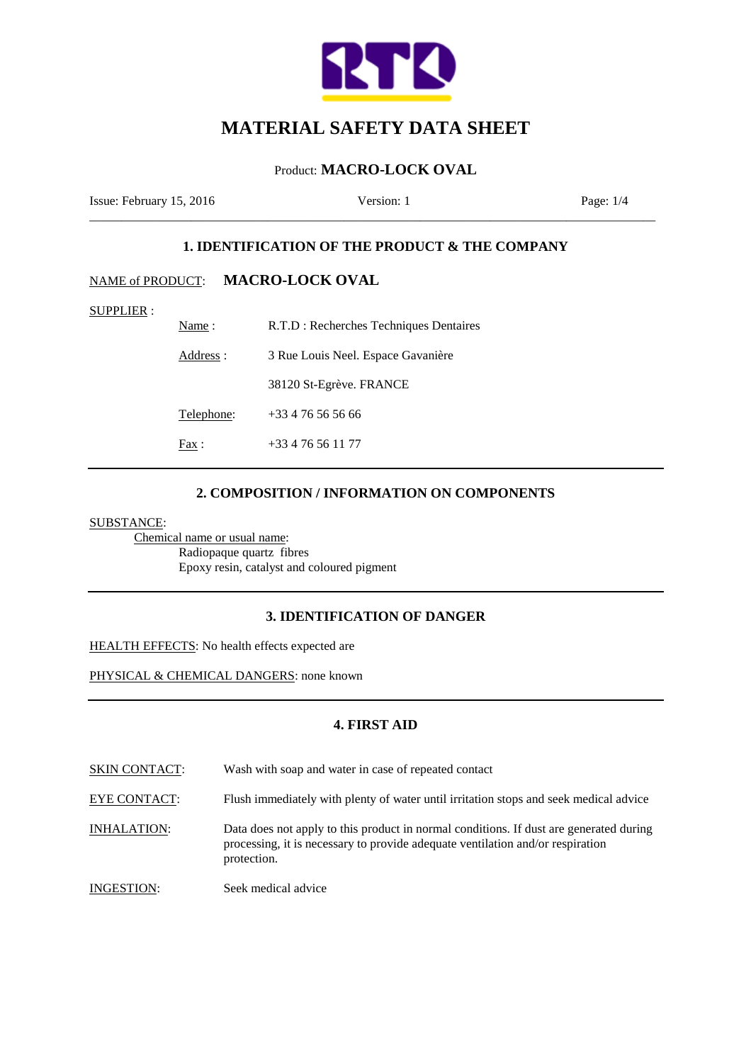

# Product: **MACRO-LOCK OVAL**

Issue: February 15, 2016 Version: 1 Page: 1/4

# **1. IDENTIFICATION OF THE PRODUCT & THE COMPANY**

\_\_\_\_\_\_\_\_\_\_\_\_\_\_\_\_\_\_\_\_\_\_\_\_\_\_\_\_\_\_\_\_\_\_\_\_\_\_\_\_\_\_\_\_\_\_\_\_\_\_\_\_\_\_\_\_\_\_\_\_\_\_\_\_\_\_\_\_\_\_\_\_\_\_\_\_\_\_\_\_\_\_\_\_\_\_\_\_\_

# NAME of PRODUCT: **MACRO-LOCK OVAL**

SUPPLIER :

| Name:      | R.T.D : Recherches Techniques Dentaires |
|------------|-----------------------------------------|
| Address :  | 3 Rue Louis Neel. Espace Gavanière      |
|            | 38120 St-Egrève. FRANCE                 |
| Telephone: | $+33476565666$                          |
| Fax :      | $+33476561177$                          |

## **2. COMPOSITION / INFORMATION ON COMPONENTS**

SUBSTANCE:

Chemical name or usual name: Radiopaque quartz fibres Epoxy resin, catalyst and coloured pigment

## **3. IDENTIFICATION OF DANGER**

HEALTH EFFECTS: No health effects expected are

PHYSICAL & CHEMICAL DANGERS: none known

## **4. FIRST AID**

SKIN CONTACT: Wash with soap and water in case of repeated contact

EYE CONTACT: Flush immediately with plenty of water until irritation stops and seek medical advice

INHALATION: Data does not apply to this product in normal conditions. If dust are generated during processing, it is necessary to provide adequate ventilation and/or respiration protection.

INGESTION: Seek medical advice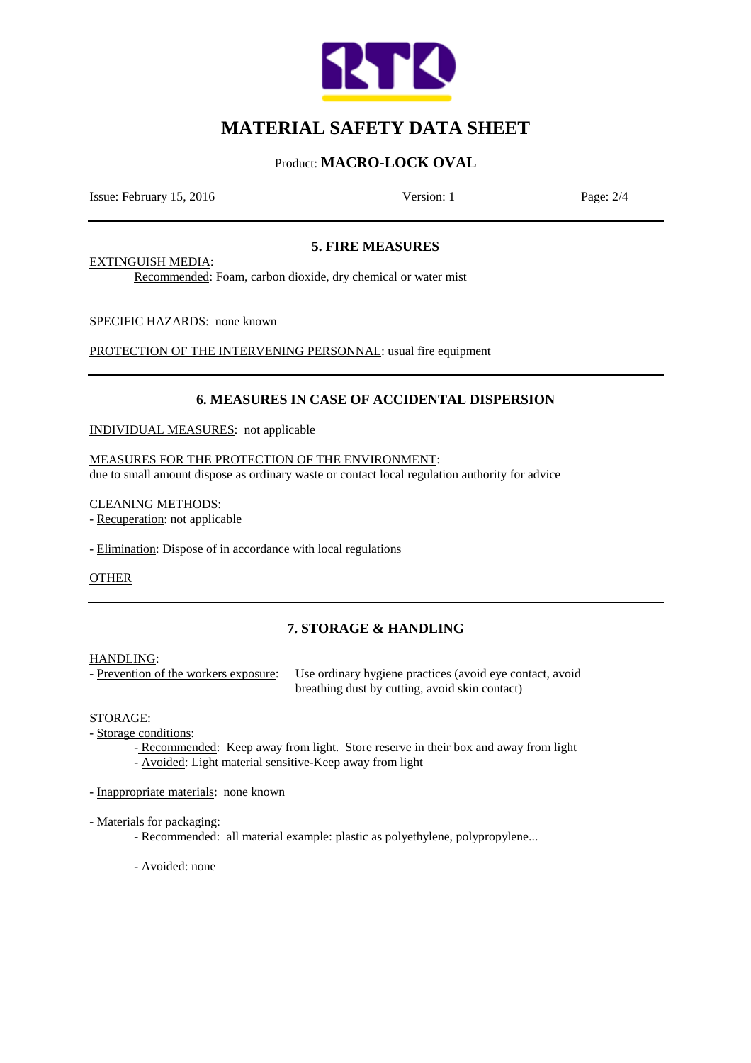

# Product: **MACRO-LOCK OVAL**

Issue: February 15, 2016 Version: 1 Page: 2/4

## **5. FIRE MEASURES**

EXTINGUISH MEDIA:

Recommended: Foam, carbon dioxide, dry chemical or water mist

SPECIFIC HAZARDS: none known

PROTECTION OF THE INTERVENING PERSONNAL: usual fire equipment

# **6. MEASURES IN CASE OF ACCIDENTAL DISPERSION**

INDIVIDUAL MEASURES: not applicable

#### MEASURES FOR THE PROTECTION OF THE ENVIRONMENT:

due to small amount dispose as ordinary waste or contact local regulation authority for advice

CLEANING METHODS:

- Recuperation: not applicable

- Elimination: Dispose of in accordance with local regulations

OTHER

# **7. STORAGE & HANDLING**

#### HANDLING:

- Prevention of the workers exposure: Use ordinary hygiene practices (avoid eye contact, avoid breathing dust by cutting, avoid skin contact)

#### STORAGE:

- Storage conditions:
	- Recommended: Keep away from light. Store reserve in their box and away from light - Avoided: Light material sensitive-Keep away from light
- Inappropriate materials: none known

#### - Materials for packaging:

- Recommended: all material example: plastic as polyethylene, polypropylene...
- Avoided: none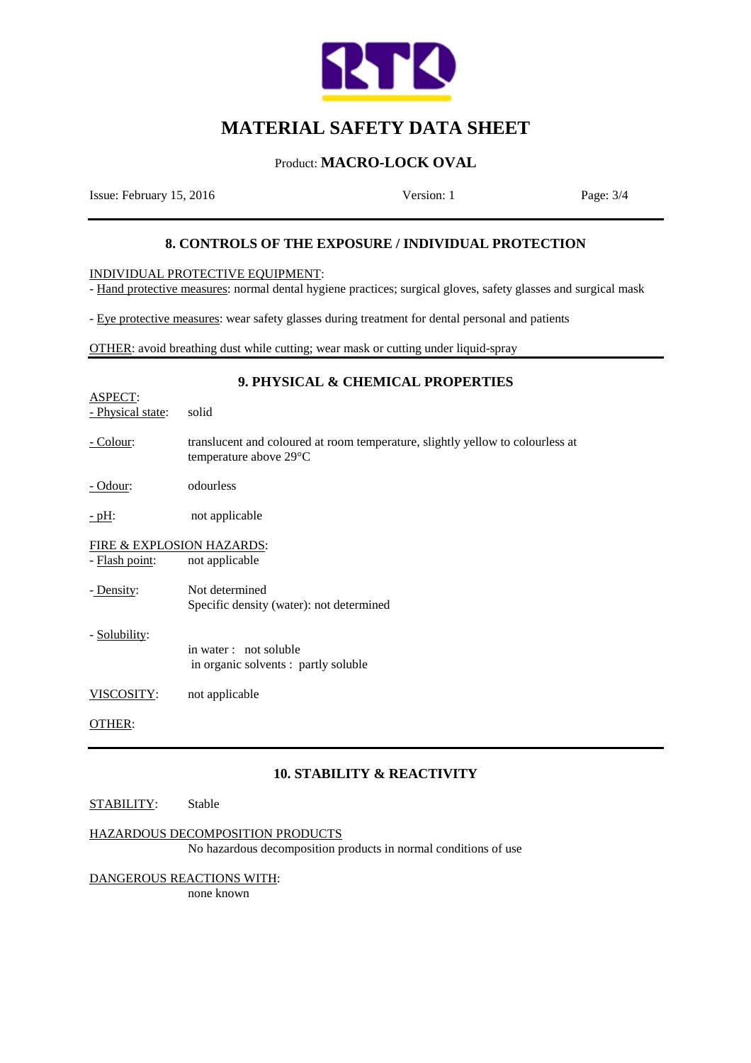

# Product: **MACRO-LOCK OVAL**

Issue: February 15, 2016 Version: 1 Page: 3/4

# **8. CONTROLS OF THE EXPOSURE / INDIVIDUAL PROTECTION**

INDIVIDUAL PROTECTIVE EQUIPMENT:

- Hand protective measures: normal dental hygiene practices; surgical gloves, safety glasses and surgical mask

- Eye protective measures: wear safety glasses during treatment for dental personal and patients

OTHER: avoid breathing dust while cutting; wear mask or cutting under liquid-spray

# **9. PHYSICAL & CHEMICAL PROPERTIES**

- ASPECT: - Physical state: solid
- Colour: translucent and coloured at room temperature, slightly yellow to colourless at temperature above 29°C
- Odour: odourless

- pH: not applicable

FIRE & EXPLOSION HAZARDS:

- Flash point: not applicable
- Density: Not determined Specific density (water): not determined
- Solubility:

 in water : not soluble in organic solvents : partly soluble

VISCOSITY: not applicable

OTHER:

### **10. STABILITY & REACTIVITY**

#### STABILITY: Stable

### HAZARDOUS DECOMPOSITION PRODUCTS

No hazardous decomposition products in normal conditions of use

DANGEROUS REACTIONS WITH: none known